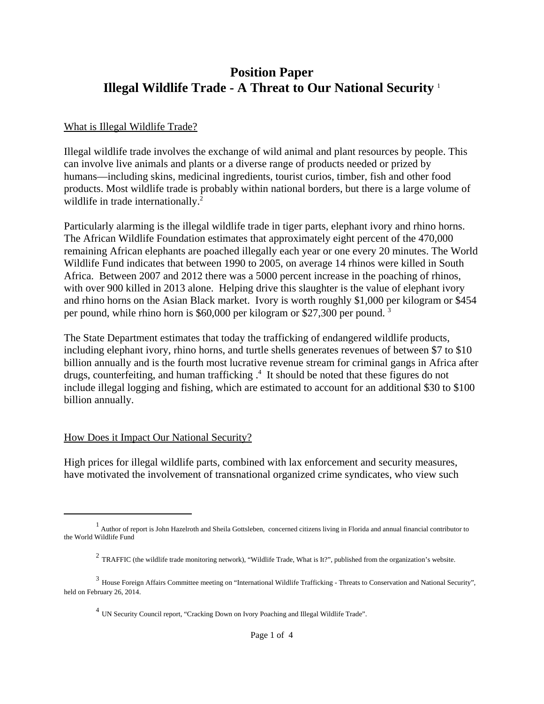# **Position Paper Illegal Wildlife Trade - A Threat to Our National Security** <sup>1</sup>

#### What is Illegal Wildlife Trade?

Illegal wildlife trade involves the exchange of wild animal and plant resources by people. This can involve live animals and plants or a diverse range of products needed or prized by humans—including skins, medicinal ingredients, tourist curios, timber, fish and other food products. Most wildlife trade is probably within national borders, but there is a large volume of wildlife in trade internationally.<sup>2</sup>

Particularly alarming is the illegal wildlife trade in tiger parts, elephant ivory and rhino horns. The African Wildlife Foundation estimates that approximately eight percent of the 470,000 remaining African elephants are poached illegally each year or one every 20 minutes. The World Wildlife Fund indicates that between 1990 to 2005, on average 14 rhinos were killed in South Africa. Between 2007 and 2012 there was a 5000 percent increase in the poaching of rhinos, with over 900 killed in 2013 alone. Helping drive this slaughter is the value of elephant ivory and rhino horns on the Asian Black market. Ivory is worth roughly \$1,000 per kilogram or \$454 per pound, while rhino horn is \$60,000 per kilogram or \$27,300 per pound. 3

The State Department estimates that today the trafficking of endangered wildlife products, including elephant ivory, rhino horns, and turtle shells generates revenues of between \$7 to \$10 billion annually and is the fourth most lucrative revenue stream for criminal gangs in Africa after drugs, counterfeiting, and human trafficking  $.4$  It should be noted that these figures do not include illegal logging and fishing, which are estimated to account for an additional \$30 to \$100 billion annually.

#### How Does it Impact Our National Security?

High prices for illegal wildlife parts, combined with lax enforcement and security measures, have motivated the involvement of transnational organized crime syndicates, who view such

<sup>&</sup>lt;sup>1</sup> Author of report is John Hazelroth and Sheila Gottsleben, concerned citizens living in Florida and annual financial contributor to the World Wildlife Fund

 $2$  TRAFFIC (the wildlife trade monitoring network), "Wildlife Trade, What is It?", published from the organization's website.

<sup>3</sup> House Foreign Affairs Committee meeting on "International Wildlife Trafficking - Threats to Conservation and National Security", held on February 26, 2014.

<sup>4</sup> UN Security Council report, "Cracking Down on Ivory Poaching and Illegal Wildlife Trade".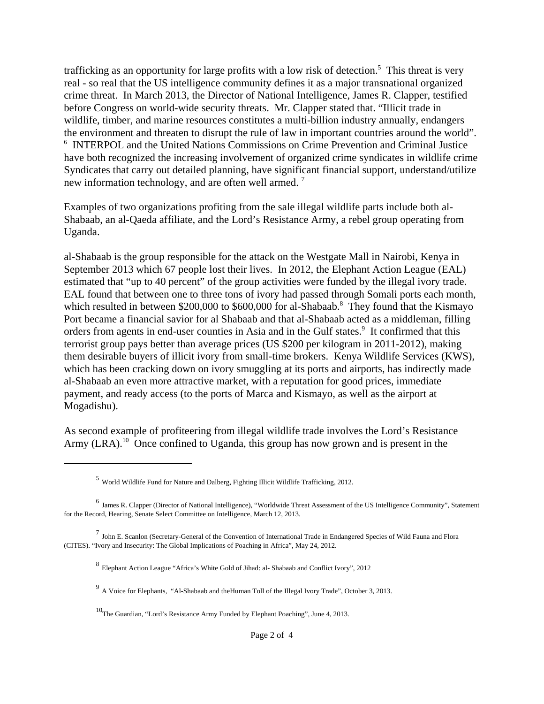trafficking as an opportunity for large profits with a low risk of detection.<sup>5</sup> This threat is very real - so real that the US intelligence community defines it as a major transnational organized crime threat. In March 2013, the Director of National Intelligence, James R. Clapper, testified before Congress on world-wide security threats. Mr. Clapper stated that. "Illicit trade in wildlife, timber, and marine resources constitutes a multi-billion industry annually, endangers the environment and threaten to disrupt the rule of law in important countries around the world". 6 INTERPOL and the United Nations Commissions on Crime Prevention and Criminal Justice have both recognized the increasing involvement of organized crime syndicates in wildlife crime Syndicates that carry out detailed planning, have significant financial support, understand/utilize new information technology, and are often well armed.<sup>7</sup>

Examples of two organizations profiting from the sale illegal wildlife parts include both al-Shabaab, an al-Qaeda affiliate, and the Lord's Resistance Army, a rebel group operating from Uganda.

al-Shabaab is the group responsible for the attack on the Westgate Mall in Nairobi, Kenya in September 2013 which 67 people lost their lives. In 2012, the Elephant Action League (EAL) estimated that "up to 40 percent" of the group activities were funded by the illegal ivory trade. EAL found that between one to three tons of ivory had passed through Somali ports each month, which resulted in between \$200,000 to \$600,000 for al-Shabaab.<sup>8</sup> They found that the Kismayo Port became a financial savior for al Shabaab and that al-Shabaab acted as a middleman, filling orders from agents in end-user counties in Asia and in the Gulf states.<sup>9</sup> It confirmed that this terrorist group pays better than average prices (US \$200 per kilogram in 2011-2012), making them desirable buyers of illicit ivory from small-time brokers. Kenya Wildlife Services (KWS), which has been cracking down on ivory smuggling at its ports and airports, has indirectly made al-Shabaab an even more attractive market, with a reputation for good prices, immediate payment, and ready access (to the ports of Marca and Kismayo, as well as the airport at Mogadishu).

As second example of profiteering from illegal wildlife trade involves the Lord's Resistance Army (LRA).<sup>10</sup> Once confined to Uganda, this group has now grown and is present in the

<sup>5</sup> World Wildlife Fund for Nature and Dalberg, Fighting Illicit Wildlife Trafficking, 2012.

<sup>6</sup> James R. Clapper (Director of National Intelligence), "Worldwide Threat Assessment of the US Intelligence Community", Statement for the Record, Hearing, Senate Select Committee on Intelligence, March 12, 2013.

<sup>7</sup> John E. Scanlon (Secretary-General of the Convention of International Trade in Endangered Species of Wild Fauna and Flora (CITES). "Ivory and Insecurity: The Global Implications of Poaching in Africa", May 24, 2012.

<sup>8</sup> Elephant Action League "Africa's White Gold of Jihad: al- Shabaab and Conflict Ivory", 2012

<sup>9</sup> A Voice for Elephants, "Al-Shabaab and theHuman Toll of the Illegal Ivory Trade", October 3, 2013.

<sup>10</sup>The Guardian, "Lord's Resistance Army Funded by Elephant Poaching", June 4, 2013.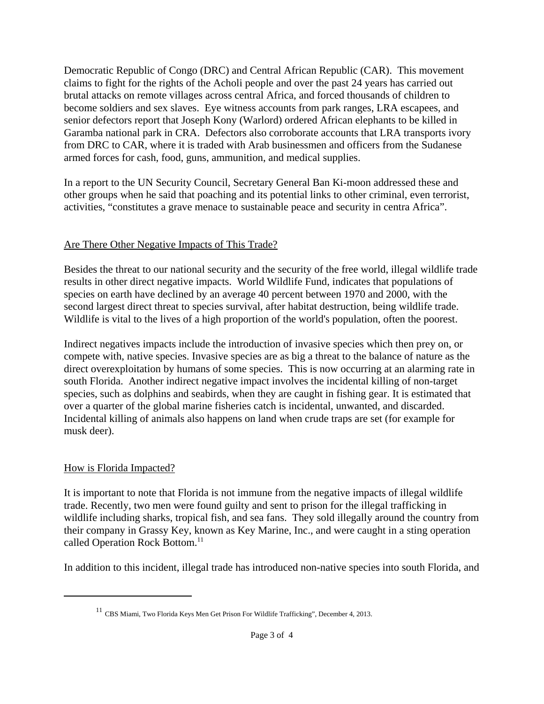Democratic Republic of Congo (DRC) and Central African Republic (CAR). This movement claims to fight for the rights of the Acholi people and over the past 24 years has carried out brutal attacks on remote villages across central Africa, and forced thousands of children to become soldiers and sex slaves. Eye witness accounts from park ranges, LRA escapees, and senior defectors report that Joseph Kony (Warlord) ordered African elephants to be killed in Garamba national park in CRA. Defectors also corroborate accounts that LRA transports ivory from DRC to CAR, where it is traded with Arab businessmen and officers from the Sudanese armed forces for cash, food, guns, ammunition, and medical supplies.

In a report to the UN Security Council, Secretary General Ban Ki-moon addressed these and other groups when he said that poaching and its potential links to other criminal, even terrorist, activities, "constitutes a grave menace to sustainable peace and security in centra Africa".

### Are There Other Negative Impacts of This Trade?

Besides the threat to our national security and the security of the free world, illegal wildlife trade results in other direct negative impacts. World Wildlife Fund, indicates that populations of species on earth have declined by an average 40 percent between 1970 and 2000, with the second largest direct threat to species survival, after habitat destruction, being wildlife trade. Wildlife is vital to the lives of a high proportion of the world's population, often the poorest.

Indirect negatives impacts include the introduction of invasive species which then prey on, or compete with, native species. Invasive species are as big a threat to the balance of nature as the direct overexploitation by humans of some species. This is now occurring at an alarming rate in south Florida. Another indirect negative impact involves the incidental killing of non-target species, such as dolphins and seabirds, when they are caught in fishing gear. It is estimated that over a quarter of the global marine fisheries catch is incidental, unwanted, and discarded. Incidental killing of animals also happens on land when crude traps are set (for example for musk deer).

## How is Florida Impacted?

It is important to note that Florida is not immune from the negative impacts of illegal wildlife trade. Recently, two men were found guilty and sent to prison for the illegal trafficking in wildlife including sharks, tropical fish, and sea fans. They sold illegally around the country from their company in Grassy Key, known as Key Marine, Inc., and were caught in a sting operation called Operation Rock Bottom.<sup>11</sup>

In addition to this incident, illegal trade has introduced non-native species into south Florida, and

<sup>&</sup>lt;sup>11</sup> CBS Miami, Two Florida Keys Men Get Prison For Wildlife Trafficking", December 4, 2013.